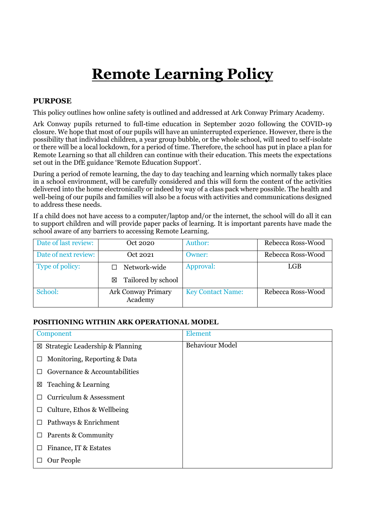# **Remote Learning Policy**

### **PURPOSE**

This policy outlines how online safety is outlined and addressed at Ark Conway Primary Academy.

Ark Conway pupils returned to full-time education in September 2020 following the COVID-19 closure. We hope that most of our pupils will have an uninterrupted experience. However, there is the possibility that individual children, a year group bubble, or the whole school, will need to self-isolate or there will be a local lockdown, for a period of time. Therefore, the school has put in place a plan for Remote Learning so that all children can continue with their education. This meets the expectations set out in the DfE guidance 'Remote Education Support'.

During a period of remote learning, the day to day teaching and learning which normally takes place in a school environment, will be carefully considered and this will form the content of the activities delivered into the home electronically or indeed by way of a class pack where possible. The health and well-being of our pupils and families will also be a focus with activities and communications designed to address these needs.

If a child does not have access to a computer/laptop and/or the internet, the school will do all it can to support children and will provide paper packs of learning. It is important parents have made the school aware of any barriers to accessing Remote Learning.

| Date of last review: | Oct 2020                      | Author:                  | Rebecca Ross-Wood |
|----------------------|-------------------------------|--------------------------|-------------------|
| Date of next review: | Oct 2021                      | Owner:                   | Rebecca Ross-Wood |
| Type of policy:      | Network-wide                  | Approval:                | LGB               |
|                      | Tailored by school<br>冈       |                          |                   |
| School:              | Ark Conway Primary<br>Academy | <b>Key Contact Name:</b> | Rebecca Ross-Wood |

#### **POSITIONING WITHIN ARK OPERATIONAL MODEL**

| Component                                   | Element                |
|---------------------------------------------|------------------------|
| $\boxtimes$ Strategic Leadership & Planning | <b>Behaviour Model</b> |
| Monitoring, Reporting & Data<br>⊔           |                        |
| Governance & Accountabilities               |                        |
| Teaching & Learning<br>区                    |                        |
| <b>Curriculum &amp; Assessment</b><br>ш     |                        |
| Culture, Ethos & Wellbeing<br>$\perp$       |                        |
| Pathways & Enrichment<br>$\Box$             |                        |
| Parents & Community<br>$\Box$               |                        |
| Finance, IT & Estates<br>H                  |                        |
| Our People                                  |                        |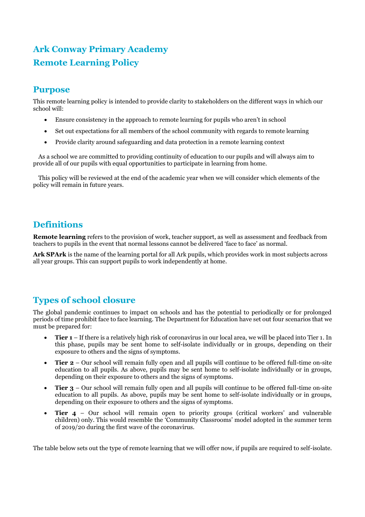# **Ark Conway Primary Academy Remote Learning Policy**

## **Purpose**

This remote learning policy is intended to provide clarity to stakeholders on the different ways in which our school will:

- Ensure consistency in the approach to remote learning for pupils who aren't in school
- Set out expectations for all members of the school community with regards to remote learning
- Provide clarity around safeguarding and data protection in a remote learning context

As a school we are committed to providing continuity of education to our pupils and will always aim to provide all of our pupils with equal opportunities to participate in learning from home.

This policy will be reviewed at the end of the academic year when we will consider which elements of the policy will remain in future years.

# **Definitions**

**Remote learning** refers to the provision of work, teacher support, as well as assessment and feedback from teachers to pupils in the event that normal lessons cannot be delivered 'face to face' as normal.

**Ark SPArk** is the name of the learning portal for all Ark pupils, which provides work in most subjects across all year groups. This can support pupils to work independently at home.

# **Types of school closure**

The global pandemic continues to impact on schools and has the potential to periodically or for prolonged periods of time prohibit face to face learning. The Department for Education have set out four scenarios that we must be prepared for:

- **Tier 1** If there is a relatively high risk of coronavirus in our local area, we will be placed into Tier 1. In this phase, pupils may be sent home to self-isolate individually or in groups, depending on their exposure to others and the signs of symptoms.
- **Tier 2** Our school will remain fully open and all pupils will continue to be offered full-time on-site education to all pupils. As above, pupils may be sent home to self-isolate individually or in groups, depending on their exposure to others and the signs of symptoms.
- **Tier 3** Our school will remain fully open and all pupils will continue to be offered full-time on-site education to all pupils. As above, pupils may be sent home to self-isolate individually or in groups, depending on their exposure to others and the signs of symptoms.
- **Tier 4** Our school will remain open to priority groups (critical workers' and vulnerable children) only. This would resemble the 'Community Classrooms' model adopted in the summer term of 2019/20 during the first wave of the coronavirus.

The table below sets out the type of remote learning that we will offer now, if pupils are required to self-isolate.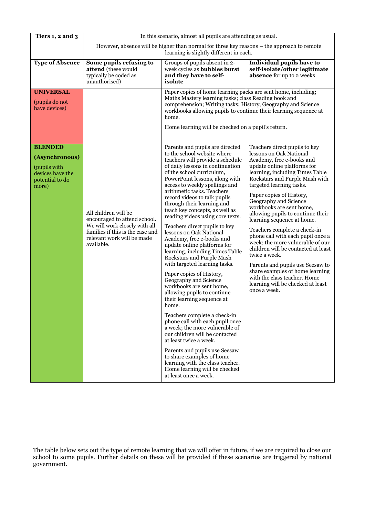| Tiers 1, 2 and 3                                                                                 | In this scenario, almost all pupils are attending as usual.                                                                                                           |                                                                                                                                                                                                                                                                                                                                                                                                                                                                                                                                                                                                                                                                                                                                                                                                                                                                                                                                                                                                                                                              |                                                                                                                                                                                                                                                                                                                                                                                                                                                                                                                                                                                                                                                                                                        |  |  |
|--------------------------------------------------------------------------------------------------|-----------------------------------------------------------------------------------------------------------------------------------------------------------------------|--------------------------------------------------------------------------------------------------------------------------------------------------------------------------------------------------------------------------------------------------------------------------------------------------------------------------------------------------------------------------------------------------------------------------------------------------------------------------------------------------------------------------------------------------------------------------------------------------------------------------------------------------------------------------------------------------------------------------------------------------------------------------------------------------------------------------------------------------------------------------------------------------------------------------------------------------------------------------------------------------------------------------------------------------------------|--------------------------------------------------------------------------------------------------------------------------------------------------------------------------------------------------------------------------------------------------------------------------------------------------------------------------------------------------------------------------------------------------------------------------------------------------------------------------------------------------------------------------------------------------------------------------------------------------------------------------------------------------------------------------------------------------------|--|--|
|                                                                                                  | However, absence will be higher than normal for three key reasons – the approach to remote<br>learning is slightly different in each.                                 |                                                                                                                                                                                                                                                                                                                                                                                                                                                                                                                                                                                                                                                                                                                                                                                                                                                                                                                                                                                                                                                              |                                                                                                                                                                                                                                                                                                                                                                                                                                                                                                                                                                                                                                                                                                        |  |  |
| <b>Type of Absence</b>                                                                           | Some pupils refusing to<br>attend (these would<br>typically be coded as<br>unauthorised)                                                                              | Groups of pupils absent in 2-<br>week cycles as <b>bubbles burst</b><br>and they have to self-<br>isolate                                                                                                                                                                                                                                                                                                                                                                                                                                                                                                                                                                                                                                                                                                                                                                                                                                                                                                                                                    | Individual pupils have to<br>self-isolate/other legitimate<br>absence for up to 2 weeks                                                                                                                                                                                                                                                                                                                                                                                                                                                                                                                                                                                                                |  |  |
| <b>UNIVERSAL</b><br>(pupils do not<br>have devices)                                              |                                                                                                                                                                       | home.                                                                                                                                                                                                                                                                                                                                                                                                                                                                                                                                                                                                                                                                                                                                                                                                                                                                                                                                                                                                                                                        | Paper copies of home learning packs are sent home, including;<br>Maths Mastery learning tasks; class Reading book and<br>comprehension; Writing tasks; History, Geography and Science<br>workbooks allowing pupils to continue their learning sequence at<br>Home learning will be checked on a pupil's return.                                                                                                                                                                                                                                                                                                                                                                                        |  |  |
| <b>BLENDED</b><br>(Asynchronous)<br>(pupils with<br>devices have the<br>potential to do<br>more) | All children will be<br>encouraged to attend school.<br>We will work closely with all<br>families if this is the case and<br>relevant work will be made<br>available. | Parents and pupils are directed<br>to the school website where<br>teachers will provide a schedule<br>of daily lessons in continuation<br>of the school curriculum,<br>PowerPoint lessons, along with<br>access to weekly spellings and<br>arithmetic tasks. Teachers<br>record videos to talk pupils<br>through their learning and<br>teach key concepts, as well as<br>reading videos using core texts.<br>Teachers direct pupils to key<br>lessons on Oak National<br>Academy, free e-books and<br>update online platforms for<br>learning, including Times Table<br>Rockstars and Purple Mash<br>with targeted learning tasks.<br>Paper copies of History,<br>Geography and Science<br>workbooks are sent home,<br>allowing pupils to continue<br>their learning sequence at<br>home.<br>Teachers complete a check-in<br>phone call with each pupil once<br>a week; the more vulnerable of<br>our children will be contacted<br>at least twice a week.<br>Parents and pupils use Seesaw<br>to share examples of home<br>learning with the class teacher. | Teachers direct pupils to key<br>lessons on Oak National<br>Academy, free e-books and<br>update online platforms for<br>learning, including Times Table<br>Rockstars and Purple Mash with<br>targeted learning tasks.<br>Paper copies of History,<br>Geography and Science<br>workbooks are sent home,<br>allowing pupils to continue their<br>learning sequence at home.<br>Teachers complete a check-in<br>phone call with each pupil once a<br>week; the more vulnerable of our<br>children will be contacted at least<br>twice a week.<br>Parents and pupils use Seesaw to<br>share examples of home learning<br>with the class teacher. Home<br>learning will be checked at least<br>once a week. |  |  |
|                                                                                                  | Home learning will be checked<br>at least once a week.                                                                                                                |                                                                                                                                                                                                                                                                                                                                                                                                                                                                                                                                                                                                                                                                                                                                                                                                                                                                                                                                                                                                                                                              |                                                                                                                                                                                                                                                                                                                                                                                                                                                                                                                                                                                                                                                                                                        |  |  |

The table below sets out the type of remote learning that we will offer in future, if we are required to close our school to some pupils. Further details on these will be provided if these scenarios are triggered by national government.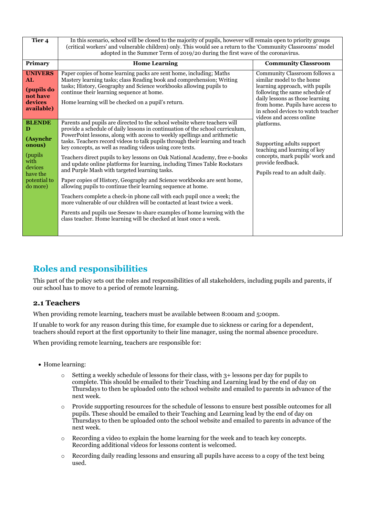| Tier <sub>4</sub>                                                                                                                                                                          | In this scenario, school will be closed to the majority of pupils, however will remain open to priority groups<br>(critical workers' and vulnerable children) only. This would see a return to the 'Community Classrooms' model<br>adopted in the Summer Term of 2019/20 during the first wave of the coronavirus.                                                                                                                                                                                                                                                                                                                                                                                                                                                                                                                                                                                                                                                                                                                                                                                                                                                                                                                                                                                                                                                               |                                                                                                                                                                                                                                                                                                                                                                                                                                              |  |  |
|--------------------------------------------------------------------------------------------------------------------------------------------------------------------------------------------|----------------------------------------------------------------------------------------------------------------------------------------------------------------------------------------------------------------------------------------------------------------------------------------------------------------------------------------------------------------------------------------------------------------------------------------------------------------------------------------------------------------------------------------------------------------------------------------------------------------------------------------------------------------------------------------------------------------------------------------------------------------------------------------------------------------------------------------------------------------------------------------------------------------------------------------------------------------------------------------------------------------------------------------------------------------------------------------------------------------------------------------------------------------------------------------------------------------------------------------------------------------------------------------------------------------------------------------------------------------------------------|----------------------------------------------------------------------------------------------------------------------------------------------------------------------------------------------------------------------------------------------------------------------------------------------------------------------------------------------------------------------------------------------------------------------------------------------|--|--|
| Primary                                                                                                                                                                                    | <b>Home Learning</b>                                                                                                                                                                                                                                                                                                                                                                                                                                                                                                                                                                                                                                                                                                                                                                                                                                                                                                                                                                                                                                                                                                                                                                                                                                                                                                                                                             | <b>Community Classroom</b>                                                                                                                                                                                                                                                                                                                                                                                                                   |  |  |
| <b>UNIVERS</b><br>AL<br>(pupils do<br>not have<br>devices<br>available)<br><b>BLENDE</b><br>D<br>(Asynchr<br>onous)<br>(pupils)<br>with<br>devices<br>have the<br>potential to<br>do more) | Paper copies of home learning packs are sent home, including; Maths<br>Mastery learning tasks; class Reading book and comprehension; Writing<br>tasks; History, Geography and Science workbooks allowing pupils to<br>continue their learning sequence at home.<br>Home learning will be checked on a pupil's return.<br>Parents and pupils are directed to the school website where teachers will<br>provide a schedule of daily lessons in continuation of the school curriculum,<br>PowerPoint lessons, along with access to weekly spellings and arithmetic<br>tasks. Teachers record videos to talk pupils through their learning and teach<br>key concepts, as well as reading videos using core texts.<br>Teachers direct pupils to key lessons on Oak National Academy, free e-books<br>and update online platforms for learning, including Times Table Rockstars<br>and Purple Mash with targeted learning tasks.<br>Paper copies of History, Geography and Science workbooks are sent home,<br>allowing pupils to continue their learning sequence at home.<br>Teachers complete a check-in phone call with each pupil once a week; the<br>more vulnerable of our children will be contacted at least twice a week.<br>Parents and pupils use Seesaw to share examples of home learning with the<br>class teacher. Home learning will be checked at least once a week. | Community Classroom follows a<br>similar model to the home<br>learning approach, with pupils<br>following the same schedule of<br>daily lessons as those learning<br>from home. Pupils have access to<br>in school devices to watch teacher<br>videos and access online<br>platforms.<br>Supporting adults support<br>teaching and learning of key<br>concepts, mark pupils' work and<br>provide feedback.<br>Pupils read to an adult daily. |  |  |

# **Roles and responsibilities**

This part of the policy sets out the roles and responsibilities of all stakeholders, including pupils and parents, if our school has to move to a period of remote learning.

## **2.1 Teachers**

When providing remote learning, teachers must be available between 8:00am and 5:00pm.

If unable to work for any reason during this time, for example due to sickness or caring for a dependent, teachers should report at the first opportunity to their line manager, using the normal absence procedure.

When providing remote learning, teachers are responsible for:

- Home learning:
	- $\circ$  Setting a weekly schedule of lessons for their class, with 3+ lessons per day for pupils to complete. This should be emailed to their Teaching and Learning lead by the end of day on Thursdays to then be uploaded onto the school website and emailed to parents in advance of the next week.
	- o Provide supporting resources for the schedule of lessons to ensure best possible outcomes for all pupils. These should be emailed to their Teaching and Learning lead by the end of day on Thursdays to then be uploaded onto the school website and emailed to parents in advance of the next week.
	- o Recording a video to explain the home learning for the week and to teach key concepts. Recording additional videos for lessons content is welcomed.
	- o Recording daily reading lessons and ensuring all pupils have access to a copy of the text being used.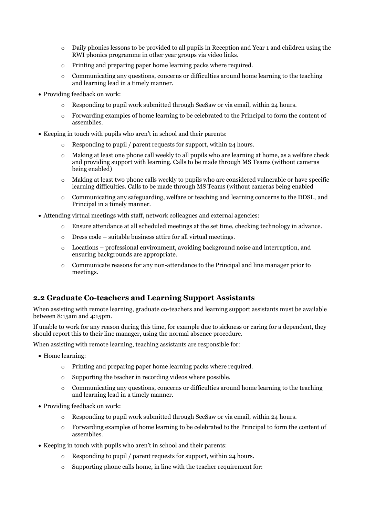- $\circ$  Daily phonics lessons to be provided to all pupils in Reception and Year 1 and children using the RWI phonics programme in other year groups via video links.
- o Printing and preparing paper home learning packs where required.
- $\circ$  Communicating any questions, concerns or difficulties around home learning to the teaching and learning lead in a timely manner.
- Providing feedback on work:
	- $\circ$  Responding to pupil work submitted through SeeSaw or via email, within 24 hours.
	- o Forwarding examples of home learning to be celebrated to the Principal to form the content of assemblies.
- Keeping in touch with pupils who aren't in school and their parents:
	- o Responding to pupil / parent requests for support, within 24 hours.
	- $\circ$  Making at least one phone call weekly to all pupils who are learning at home, as a welfare check and providing support with learning. Calls to be made through MS Teams (without cameras being enabled)
	- $\circ$  Making at least two phone calls weekly to pupils who are considered vulnerable or have specific learning difficulties. Calls to be made through MS Teams (without cameras being enabled
	- o Communicating any safeguarding, welfare or teaching and learning concerns to the DDSL, and Principal in a timely manner.
- Attending virtual meetings with staff, network colleagues and external agencies:
	- o Ensure attendance at all scheduled meetings at the set time, checking technology in advance.
	- o Dress code suitable business attire for all virtual meetings.
	- o Locations professional environment, avoiding background noise and interruption, and ensuring backgrounds are appropriate.
	- o Communicate reasons for any non-attendance to the Principal and line manager prior to meetings.

#### **2.2 Graduate Co-teachers and Learning Support Assistants**

When assisting with remote learning, graduate co-teachers and learning support assistants must be available between 8:15am and 4:15pm.

If unable to work for any reason during this time, for example due to sickness or caring for a dependent, they should report this to their line manager, using the normal absence procedure.

When assisting with remote learning, teaching assistants are responsible for:

- Home learning:
	- o Printing and preparing paper home learning packs where required.
	- o Supporting the teacher in recording videos where possible.
	- $\circ$  Communicating any questions, concerns or difficulties around home learning to the teaching and learning lead in a timely manner.
- Providing feedback on work:
	- Responding to pupil work submitted through SeeSaw or via email, within 24 hours.
	- o Forwarding examples of home learning to be celebrated to the Principal to form the content of assemblies.
- Keeping in touch with pupils who aren't in school and their parents:
	- o Responding to pupil / parent requests for support, within 24 hours.
	- Supporting phone calls home, in line with the teacher requirement for: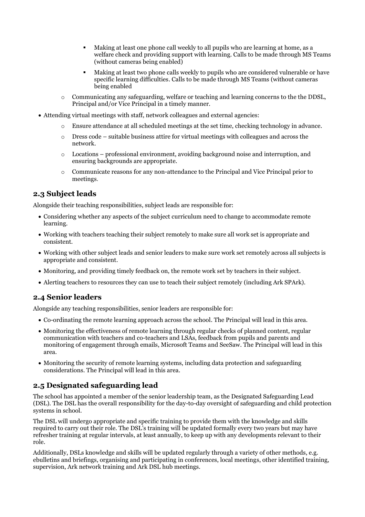- Making at least one phone call weekly to all pupils who are learning at home, as a welfare check and providing support with learning. Calls to be made through MS Teams (without cameras being enabled)
- Making at least two phone calls weekly to pupils who are considered vulnerable or have specific learning difficulties. Calls to be made through MS Teams (without cameras being enabled
- $\circ$  Communicating any safeguarding, welfare or teaching and learning concerns to the the DDSL, Principal and/or Vice Principal in a timely manner.
- Attending virtual meetings with staff, network colleagues and external agencies:
	- o Ensure attendance at all scheduled meetings at the set time, checking technology in advance.
	- $\circ$  Dress code suitable business attire for virtual meetings with colleagues and across the network.
	- $\circ$  Locations professional environment, avoiding background noise and interruption, and ensuring backgrounds are appropriate.
	- o Communicate reasons for any non-attendance to the Principal and Vice Principal prior to meetings.

#### **2.3 Subject leads**

Alongside their teaching responsibilities, subject leads are responsible for:

- Considering whether any aspects of the subject curriculum need to change to accommodate remote learning.
- Working with teachers teaching their subject remotely to make sure all work set is appropriate and consistent.
- Working with other subject leads and senior leaders to make sure work set remotely across all subjects is appropriate and consistent.
- Monitoring, and providing timely feedback on, the remote work set by teachers in their subject.
- Alerting teachers to resources they can use to teach their subject remotely (including Ark SPArk).

#### **2.4 Senior leaders**

Alongside any teaching responsibilities, senior leaders are responsible for:

- Co-ordinating the remote learning approach across the school. The Principal will lead in this area.
- Monitoring the effectiveness of remote learning through regular checks of planned content, regular communication with teachers and co-teachers and LSAs, feedback from pupils and parents and monitoring of engagement through emails, Microsoft Teams and SeeSaw. The Principal will lead in this area.
- Monitoring the security of remote learning systems, including data protection and safeguarding considerations. The Principal will lead in this area.

#### **2.5 Designated safeguarding lead**

The school has appointed a member of the senior leadership team, as the Designated Safeguarding Lead (DSL). The DSL has the overall responsibility for the day-to-day oversight of safeguarding and child protection systems in school.

The DSL will undergo appropriate and specific training to provide them with the knowledge and skills required to carry out their role. The DSL's training will be updated formally every two years but may have refresher training at regular intervals, at least annually, to keep up with any developments relevant to their role.

Additionally, DSLs knowledge and skills will be updated regularly through a variety of other methods, e.g. ebulletins and briefings, organising and participating in conferences, local meetings, other identified training, supervision, Ark network training and Ark DSL hub meetings.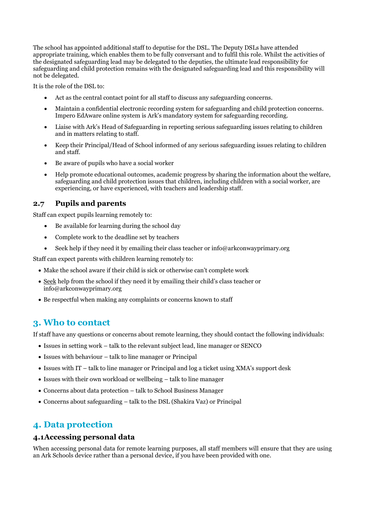The school has appointed additional staff to deputise for the DSL. The Deputy DSLs have attended appropriate training, which enables them to be fully conversant and to fulfil this role. Whilst the activities of the designated safeguarding lead may be delegated to the deputies, the ultimate lead responsibility for safeguarding and child protection remains with the designated safeguarding lead and this responsibility will not be delegated.

It is the role of the DSL to:

- Act as the central contact point for all staff to discuss any safeguarding concerns.
- Maintain a confidential electronic recording system for safeguarding and child protection concerns. Impero EdAware online system is Ark's mandatory system for safeguarding recording.
- Liaise with Ark's Head of Safeguarding in reporting serious safeguarding issues relating to children and in matters relating to staff.
- Keep their Principal/Head of School informed of any serious safeguarding issues relating to children and staff.
- Be aware of pupils who have a social worker
- Help promote educational outcomes, academic progress by sharing the information about the welfare, safeguarding and child protection issues that children, including children with a social worker, are experiencing, or have experienced, with teachers and leadership staff.

#### **2.7 Pupils and parents**

Staff can expect pupils learning remotely to:

- Be available for learning during the school day
- Complete work to the deadline set by teachers
- Seek help if they need it by emailing their class teacher or info@arkconwayprimary.org

Staff can expect parents with children learning remotely to:

- Make the school aware if their child is sick or otherwise can't complete work
- Seek help from the school if they need it by emailing their child's class teacher or info@arkconwayprimary.org
- Be respectful when making any complaints or concerns known to staff

## **3. Who to contact**

If staff have any questions or concerns about remote learning, they should contact the following individuals:

- Issues in setting work talk to the relevant subject lead, line manager or SENCO
- Issues with behaviour talk to line manager or Principal
- Issues with IT talk to line manager or Principal and log a ticket using XMA's support desk
- Issues with their own workload or wellbeing talk to line manager
- Concerns about data protection talk to School Business Manager
- Concerns about safeguarding talk to the DSL (Shakira Vaz) or Principal

## **4. Data protection**

#### **4.1Accessing personal data**

When accessing personal data for remote learning purposes, all staff members will ensure that they are using an Ark Schools device rather than a personal device, if you have been provided with one.